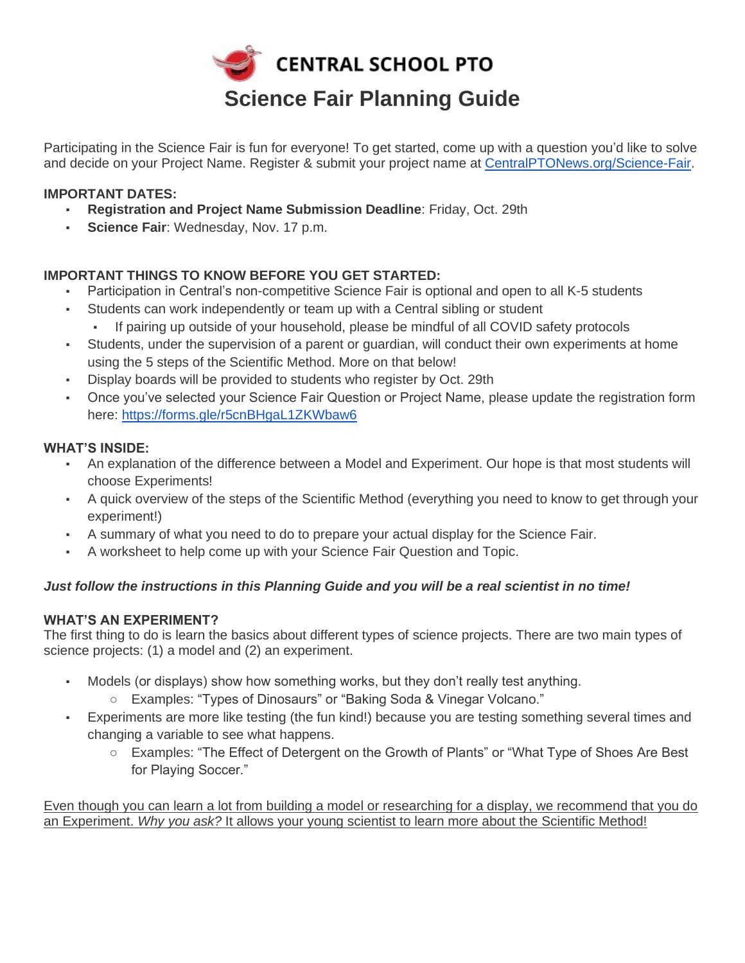

Participating in the Science Fair is fun for everyone! To get started, come up with a question you'd like to solve and decide on your Project Name. Register & submit your project name at [CentralPTONews.org/Science-Fair.](https://centralptonews.org/science-fair/)

# **IMPORTANT DATES:**

- **Registration and Project Name Submission Deadline: Friday, Oct. 29th**
- **Science Fair: Wednesday, Nov. 17 p.m.**

# **IMPORTANT THINGS TO KNOW BEFORE YOU GET STARTED:**

- Participation in Central's non-competitive Science Fair is optional and open to all K-5 students
- Students can work independently or team up with a Central sibling or student
	- If pairing up outside of your household, please be mindful of all COVID safety protocols
- Students, under the supervision of a parent or guardian, will conduct their own experiments at home using the 5 steps of the Scientific Method. More on that below!
- Display boards will be provided to students who register by Oct. 29th
- Once you've selected your Science Fair Question or Project Name, please update the registration form here:<https://forms.gle/r5cnBHgaL1ZKWbaw6>

# **WHAT'S INSIDE:**

- An explanation of the difference between a Model and Experiment. Our hope is that most students will choose Experiments!
- A quick overview of the steps of the Scientific Method (everything you need to know to get through your experiment!)
- A summary of what you need to do to prepare your actual display for the Science Fair.
- A worksheet to help come up with your Science Fair Question and Topic.

# *Just follow the instructions in this Planning Guide and you will be a real scientist in no time!*

# **WHAT'S AN EXPERIMENT?**

The first thing to do is learn the basics about different types of science projects. There are two main types of science projects: (1) a model and (2) an experiment.

- Models (or displays) show how something works, but they don't really test anything.
	- Examples: "Types of Dinosaurs" or "Baking Soda & Vinegar Volcano."
- Experiments are more like testing (the fun kind!) because you are testing something several times and changing a variable to see what happens.
	- Examples: "The Effect of Detergent on the Growth of Plants" or "What Type of Shoes Are Best for Playing Soccer."

Even though you can learn a lot from building a model or researching for a display, we recommend that you do an Experiment. *Why you ask?* It allows your young scientist to learn more about the Scientific Method!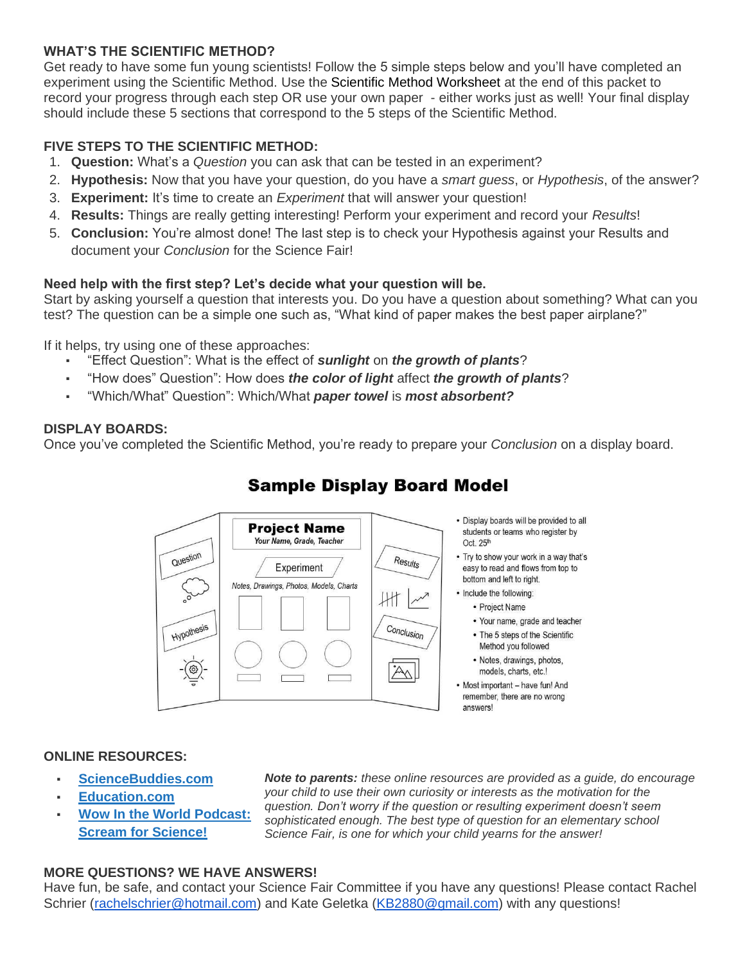#### **WHAT'S THE SCIENTIFIC METHOD?**

Get ready to have some fun young scientists! Follow the 5 simple steps below and you'll have completed an experiment using the Scientific Method. Use the [Scientific Method Worksheet](https://centralptonews.org/science-fair/scientific-method-worksheet/) at the end of this packet to record your progress through each step OR use your own paper - either works just as well! Your final display should include these 5 sections that correspond to the 5 steps of the Scientific Method.

# **FIVE STEPS TO THE SCIENTIFIC METHOD:**

- 1. **Question:** What's a *Question* you can ask that can be tested in an experiment?
- 2. **Hypothesis:** Now that you have your question, do you have a *smart guess*, or *Hypothesis*, of the answer?
- 3. **Experiment:** It's time to create an *Experiment* that will answer your question!
- 4. **Results:** Things are really getting interesting! Perform your experiment and record your *Results*!
- 5. **Conclusion:** You're almost done! The last step is to check your Hypothesis against your Results and document your *Conclusion* for the Science Fair!

#### **Need help with the first step? Let's decide what your question will be.**

Start by asking yourself a question that interests you. Do you have a question about something? What can you test? The question can be a simple one such as, "What kind of paper makes the best paper airplane?"

If it helps, try using one of these approaches:

- "Effect Question": What is the effect of *sunlight* on *the growth of plants*?
- "How does" Question": How does *the color of light* affect *the growth of plants*?
- "Which/What" Question": Which/What *paper towel* is *most absorbent?*

#### **DISPLAY BOARDS:**

Once you've completed the Scientific Method, you're ready to prepare your *Conclusion* on a display board.



# **Sample Display Board Model**

#### **ONLINE RESOURCES:**

- **[ScienceBuddies.com](https://www.sciencebuddies.org/)**
- **[Education.com](https://www.education.com/science-fair/science/)**
- **Wow In the World Podcast: [Scream for Science!](https://podcasts.apple.com/au/podcast/screaming-for-science/id1233834541?i=1000536695692)**

*Note to parents: these online resources are provided as a guide, do encourage your child to use their own curiosity or interests as the motivation for the question. Don't worry if the question or resulting experiment doesn't seem sophisticated enough. The best type of question for an elementary school Science Fair, is one for which your child yearns for the answer!*

#### **MORE QUESTIONS? WE HAVE ANSWERS!**

Have fun, be safe, and contact your Science Fair Committee if you have any questions! Please contact Rachel Schrier [\(rachelschrier@hotmail.com\)](mailto:rachelschrier@hotmail.com) and Kate Geletka [\(KB2880@gmail.com\)](mailto:KB2880@gmail.com) with any questions!